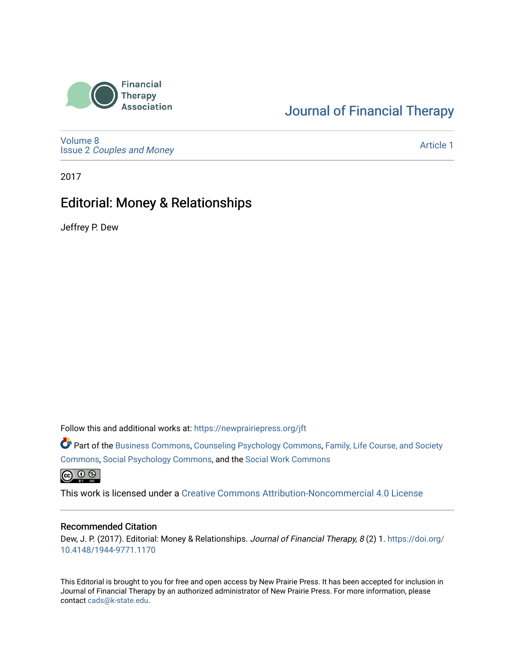

## [Journal of Financial Therapy](https://newprairiepress.org/jft)

[Volume 8](https://newprairiepress.org/jft/vol8) Issue 2 [Couples and Money](https://newprairiepress.org/jft/vol8/iss2)

[Article 1](https://newprairiepress.org/jft/vol8/iss2/1) 

2017

## Editorial: Money & Relationships

Jeffrey P. Dew

Follow this and additional works at: [https://newprairiepress.org/jft](https://newprairiepress.org/jft?utm_source=newprairiepress.org%2Fjft%2Fvol8%2Fiss2%2F1&utm_medium=PDF&utm_campaign=PDFCoverPages)

Part of the [Business Commons](http://network.bepress.com/hgg/discipline/622?utm_source=newprairiepress.org%2Fjft%2Fvol8%2Fiss2%2F1&utm_medium=PDF&utm_campaign=PDFCoverPages), [Counseling Psychology Commons,](http://network.bepress.com/hgg/discipline/1044?utm_source=newprairiepress.org%2Fjft%2Fvol8%2Fiss2%2F1&utm_medium=PDF&utm_campaign=PDFCoverPages) [Family, Life Course, and Society](http://network.bepress.com/hgg/discipline/419?utm_source=newprairiepress.org%2Fjft%2Fvol8%2Fiss2%2F1&utm_medium=PDF&utm_campaign=PDFCoverPages)  [Commons](http://network.bepress.com/hgg/discipline/419?utm_source=newprairiepress.org%2Fjft%2Fvol8%2Fiss2%2F1&utm_medium=PDF&utm_campaign=PDFCoverPages), [Social Psychology Commons,](http://network.bepress.com/hgg/discipline/414?utm_source=newprairiepress.org%2Fjft%2Fvol8%2Fiss2%2F1&utm_medium=PDF&utm_campaign=PDFCoverPages) and the [Social Work Commons](http://network.bepress.com/hgg/discipline/713?utm_source=newprairiepress.org%2Fjft%2Fvol8%2Fiss2%2F1&utm_medium=PDF&utm_campaign=PDFCoverPages)   $\bigcirc$   $\bigcirc$   $\bigcirc$ 

This work is licensed under a [Creative Commons Attribution-Noncommercial 4.0 License](https://creativecommons.org/licenses/by-nc/4.0/)

#### Recommended Citation

Dew, J. P. (2017). Editorial: Money & Relationships. Journal of Financial Therapy, 8 (2) 1. [https://doi.org/](https://doi.org/10.4148/1944-9771.1170) [10.4148/1944-9771.1170](https://doi.org/10.4148/1944-9771.1170)

This Editorial is brought to you for free and open access by New Prairie Press. It has been accepted for inclusion in Journal of Financial Therapy by an authorized administrator of New Prairie Press. For more information, please contact [cads@k-state.edu](mailto:cads@k-state.edu).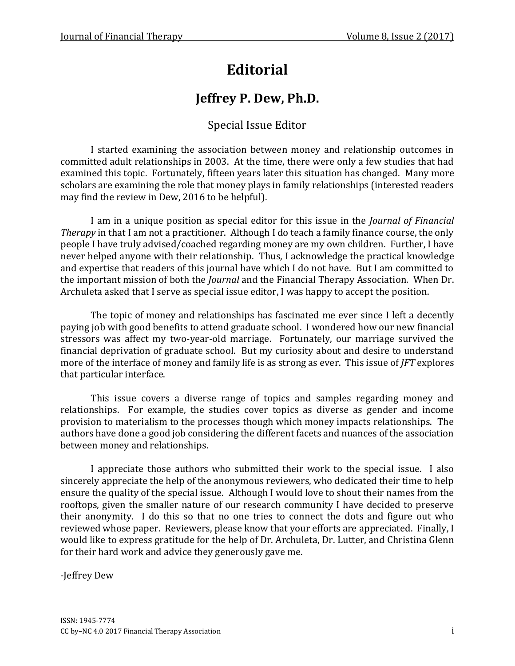# **Editorial**

## **Jeffrey P. Dew, Ph.D.**

### Special Issue Editor

I started examining the association between money and relationship outcomes in committed adult relationships in 2003. At the time, there were only a few studies that had examined this topic. Fortunately, fifteen years later this situation has changed. Many more scholars are examining the role that money plays in family relationships (interested readers may find the review in Dew, 2016 to be helpful).

I am in a unique position as special editor for this issue in the *Journal of Financial Therapy* in that I am not a practitioner. Although I do teach a family finance course, the only people I have truly advised/coached regarding money are my own children. Further, I have never helped anyone with their relationship. Thus, I acknowledge the practical knowledge and expertise that readers of this journal have which I do not have. But I am committed to the important mission of both the *Journal* and the Financial Therapy Association. When Dr. Archuleta asked that I serve as special issue editor, I was happy to accept the position.

The topic of money and relationships has fascinated me ever since I left a decently paying job with good benefits to attend graduate school. I wondered how our new financial stressors was affect my two-year-old marriage. Fortunately, our marriage survived the financial deprivation of graduate school. But my curiosity about and desire to understand more of the interface of money and family life is as strong as ever. This issue of *JFT* explores that particular interface.

This issue covers a diverse range of topics and samples regarding money and relationships. For example, the studies cover topics as diverse as gender and income provision to materialism to the processes though which money impacts relationships. The authors have done a good job considering the different facets and nuances of the association between money and relationships.

I appreciate those authors who submitted their work to the special issue. I also sincerely appreciate the help of the anonymous reviewers, who dedicated their time to help ensure the quality of the special issue. Although I would love to shout their names from the rooftops, given the smaller nature of our research community I have decided to preserve their anonymity. I do this so that no one tries to connect the dots and figure out who reviewed whose paper. Reviewers, please know that your efforts are appreciated. Finally, I would like to express gratitude for the help of Dr. Archuleta, Dr. Lutter, and Christina Glenn for their hard work and advice they generously gave me.

-Jeffrey Dew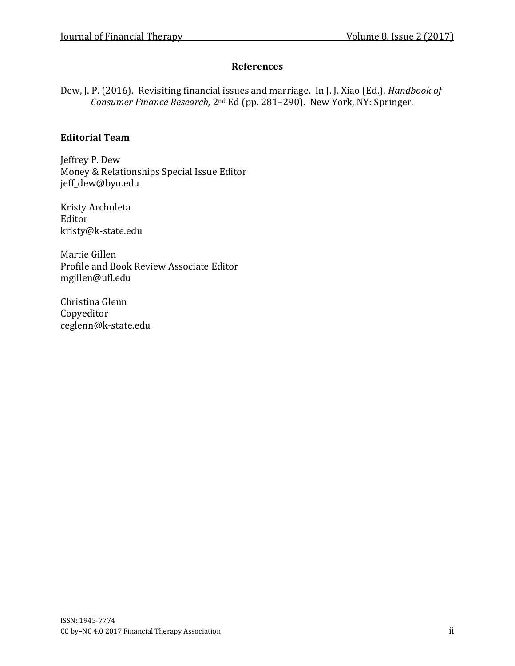#### **References**

Dew, J. P. (2016). Revisiting financial issues and marriage. In J. J. Xiao (Ed.), *Handbook of Consumer Finance Research,* 2nd Ed (pp. 281–290). New York, NY: Springer.

#### **Editorial Team**

Jeffrey P. Dew Money & Relationships Special Issue Editor jeff\_dew@byu.edu

Kristy Archuleta Editor kristy@k-state.edu

Martie Gillen Profile and Book Review Associate Editor mgillen@ufl.edu

Christina Glenn Copyeditor ceglenn@k-state.edu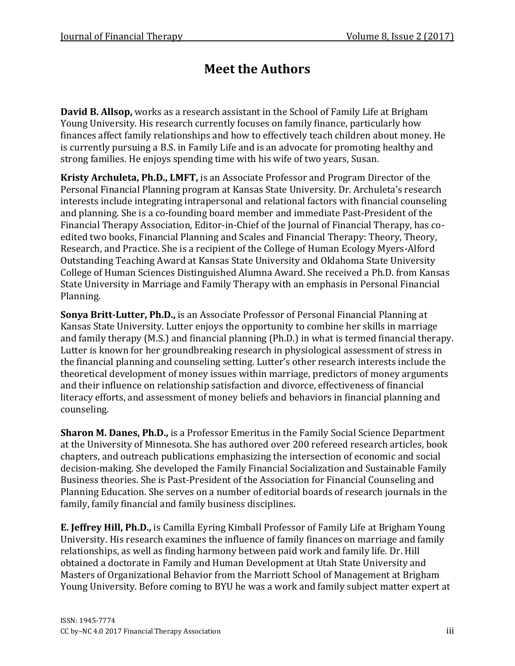## **Meet the Authors**

**David B. Allsop,** works as a research assistant in the School of Family Life at Brigham Young University. His research currently focuses on family finance, particularly how finances affect family relationships and how to effectively teach children about money. He is currently pursuing a B.S. in Family Life and is an advocate for promoting healthy and strong families. He enjoys spending time with his wife of two years, Susan.

**Kristy Archuleta, Ph.D., LMFT,** is an Associate Professor and Program Director of the Personal Financial Planning program at Kansas State University. Dr. Archuleta's research interests include integrating intrapersonal and relational factors with financial counseling and planning. She is a co-founding board member and immediate Past-President of the Financial Therapy Association, Editor-in-Chief of the Journal of Financial Therapy, has coedited two books, Financial Planning and Scales and Financial Therapy: Theory, Theory, Research, and Practice. She is a recipient of the College of Human Ecology Myers-Alford Outstanding Teaching Award at Kansas State University and Oklahoma State University College of Human Sciences Distinguished Alumna Award. She received a Ph.D. from Kansas State University in Marriage and Family Therapy with an emphasis in Personal Financial Planning.

**Sonya Britt-Lutter, Ph.D.,** is an Associate Professor of Personal Financial Planning at Kansas State University. Lutter enjoys the opportunity to combine her skills in marriage and family therapy (M.S.) and financial planning (Ph.D.) in what is termed financial therapy. Lutter is known for her groundbreaking research in physiological assessment of stress in the financial planning and counseling setting. Lutter's other research interests include the theoretical development of money issues within marriage, predictors of money arguments and their influence on relationship satisfaction and divorce, effectiveness of financial literacy efforts, and assessment of money beliefs and behaviors in financial planning and counseling.

**Sharon M. Danes, Ph.D.,** is a Professor Emeritus in the Family Social Science Department at the University of Minnesota. She has authored over 200 refereed research articles, book chapters, and outreach publications emphasizing the intersection of economic and social decision-making. She developed the Family Financial Socialization and Sustainable Family Business theories. She is Past-President of the Association for Financial Counseling and Planning Education. She serves on a number of editorial boards of research journals in the family, family financial and family business disciplines.

**E. Jeffrey Hill, Ph.D.,** is Camilla Eyring Kimball Professor of Family Life at Brigham Young University. His research examines the influence of family finances on marriage and family relationships, as well as finding harmony between paid work and family life. Dr. Hill obtained a doctorate in Family and Human Development at Utah State University and Masters of Organizational Behavior from the Marriott School of Management at Brigham Young University. Before coming to BYU he was a work and family subject matter expert at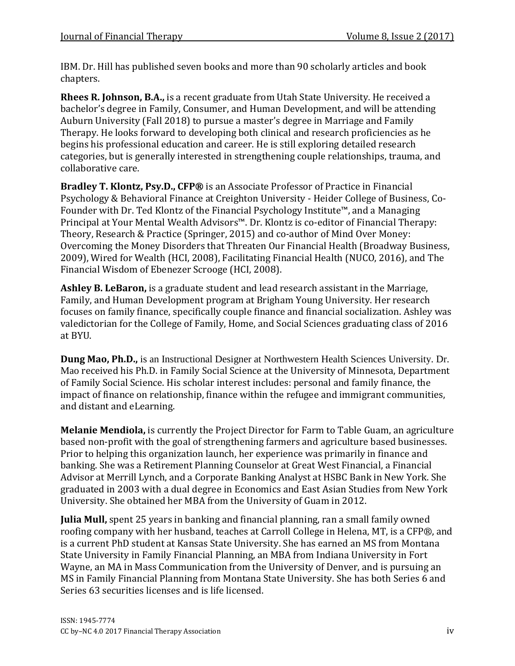IBM. Dr. Hill has published seven books and more than 90 scholarly articles and book chapters.

**Rhees R. Johnson, B.A.,** is a recent graduate from Utah State University. He received a bachelor's degree in Family, Consumer, and Human Development, and will be attending Auburn University (Fall 2018) to pursue a master's degree in Marriage and Family Therapy. He looks forward to developing both clinical and research proficiencies as he begins his professional education and career. He is still exploring detailed research categories, but is generally interested in strengthening couple relationships, trauma, and collaborative care.

**Bradley T. Klontz, Psy.D., CFP®** is an Associate Professor of Practice in Financial Psychology & Behavioral Finance at Creighton University - Heider College of Business, Co-Founder with Dr. Ted Klontz of the Financial Psychology Institute™, and a Managing Principal at Your Mental Wealth Advisors™. Dr. Klontz is co-editor of Financial Therapy: Theory, Research & Practice (Springer, 2015) and co-author of Mind Over Money: Overcoming the Money Disorders that Threaten Our Financial Health (Broadway Business, 2009), Wired for Wealth (HCI, 2008), Facilitating Financial Health (NUCO, 2016), and The Financial Wisdom of Ebenezer Scrooge (HCI, 2008).

**Ashley B. LeBaron,** is a graduate student and lead research assistant in the Marriage, Family, and Human Development program at Brigham Young University. Her research focuses on family finance, specifically couple finance and financial socialization. Ashley was valedictorian for the College of Family, Home, and Social Sciences graduating class of 2016 at BYU.

**Dung Mao, Ph.D.,** is an Instructional Designer at Northwestern Health Sciences University. Dr. Mao received his Ph.D. in Family Social Science at the University of Minnesota, Department of Family Social Science. His scholar interest includes: personal and family finance, the impact of finance on relationship, finance within the refugee and immigrant communities, and distant and eLearning.

**Melanie Mendiola,** is currently the Project Director for Farm to Table Guam, an agriculture based non-profit with the goal of strengthening farmers and agriculture based businesses. Prior to helping this organization launch, her experience was primarily in finance and banking. She was a Retirement Planning Counselor at Great West Financial, a Financial Advisor at Merrill Lynch, and a Corporate Banking Analyst at HSBC Bank in New York. She graduated in 2003 with a dual degree in Economics and East Asian Studies from New York University. She obtained her MBA from the University of Guam in 2012.

**Julia Mull,** spent 25 years in banking and financial planning, ran a small family owned roofing company with her husband, teaches at Carroll College in Helena, MT, is a CFP®, and is a current PhD student at Kansas State University. She has earned an MS from Montana State University in Family Financial Planning, an MBA from Indiana University in Fort Wayne, an MA in Mass Communication from the University of Denver, and is pursuing an MS in Family Financial Planning from Montana State University. She has both Series 6 and Series 63 securities licenses and is life licensed.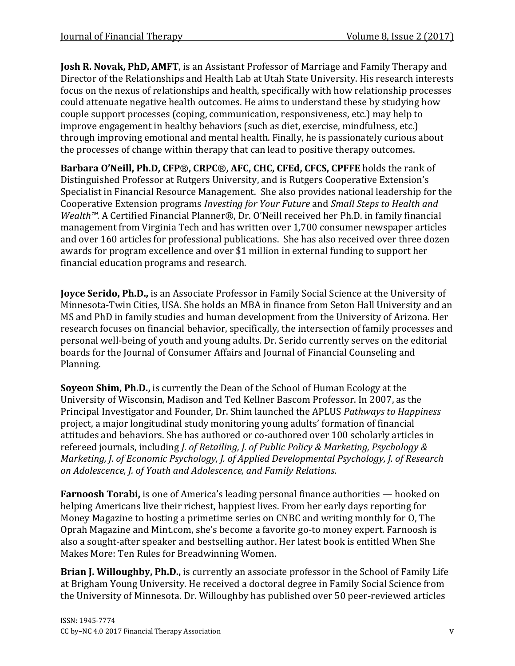**Josh R. Novak, PhD, AMFT**, is an Assistant Professor of Marriage and Family Therapy and Director of the Relationships and Health Lab at Utah State University. His research interests focus on the nexus of relationships and health, specifically with how relationship processes could attenuate negative health outcomes. He aims to understand these by studying how couple support processes (coping, communication, responsiveness, etc.) may help to improve engagement in healthy behaviors (such as diet, exercise, mindfulness, etc.) through improving emotional and mental health. Finally, he is passionately curious about the processes of change within therapy that can lead to positive therapy outcomes.

**Barbara O'Neill, Ph.D, CFP**®**, CRPC**®**, AFC, CHC, CFEd, CFCS, CPFFE** holds the rank of Distinguished Professor at Rutgers University, and is Rutgers Cooperative Extension's Specialist in Financial Resource Management. She also provides national leadership for the Cooperative Extension programs *Investing for Your Future* and *Small Steps to Health and Wealth™*. A Certified Financial Planner®, Dr. O'Neill received her Ph.D. in family financial management from Virginia Tech and has written over 1,700 consumer newspaper articles and over 160 articles for professional publications. She has also received over three dozen awards for program excellence and over \$1 million in external funding to support her financial education programs and research.

**Joyce Serido, Ph.D.,** is an Associate Professor in Family Social Science at the University of Minnesota-Twin Cities, USA. She holds an MBA in finance from Seton Hall University and an MS and PhD in family studies and human development from the University of Arizona. Her research focuses on financial behavior, specifically, the intersection of family processes and personal well-being of youth and young adults. Dr. Serido currently serves on the editorial boards for the Journal of Consumer Affairs and Journal of Financial Counseling and Planning.

**Soyeon Shim, Ph.D.,** is currently the Dean of the School of Human Ecology at the University of Wisconsin, Madison and Ted Kellner Bascom Professor. In 2007, as the Principal Investigator and Founder, Dr. Shim launched the APLUS *Pathways to Happiness* project, a major longitudinal study monitoring young adults' formation of financial attitudes and behaviors. She has authored or co-authored over 100 scholarly articles in refereed journals, including *J. of Retailing, J. of Public Policy & Marketing, Psychology & Marketing, J. of Economic Psychology, J. of Applied Developmental Psychology, J. of Research on Adolescence, J. of Youth and Adolescence, and Family Relations*.

**Farnoosh Torabi,** is one of America's leading personal finance authorities — hooked on helping Americans live their richest, happiest lives. From her early days reporting for Money Magazine to hosting a primetime series on CNBC and writing monthly for O, The Oprah Magazine and Mint.com, she's become a favorite go-to money expert. Farnoosh is also a sought-after speaker and bestselling author. Her latest book is entitled When She Makes More: Ten Rules for Breadwinning Women.

**Brian J. Willoughby, Ph.D.,** is currently an associate professor in the School of Family Life at Brigham Young University. He received a doctoral degree in Family Social Science from the University of Minnesota. Dr. Willoughby has published over 50 peer-reviewed articles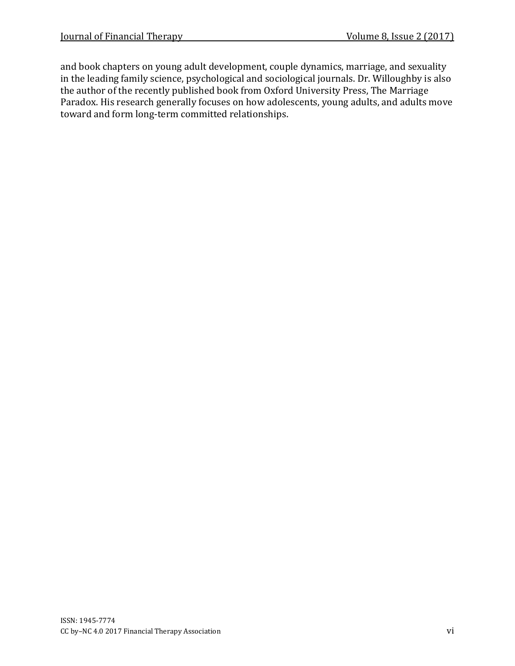and book chapters on young adult development, couple dynamics, marriage, and sexuality in the leading family science, psychological and sociological journals. Dr. Willoughby is also the author of the recently published book from Oxford University Press, The Marriage Paradox. His research generally focuses on how adolescents, young adults, and adults move toward and form long-term committed relationships.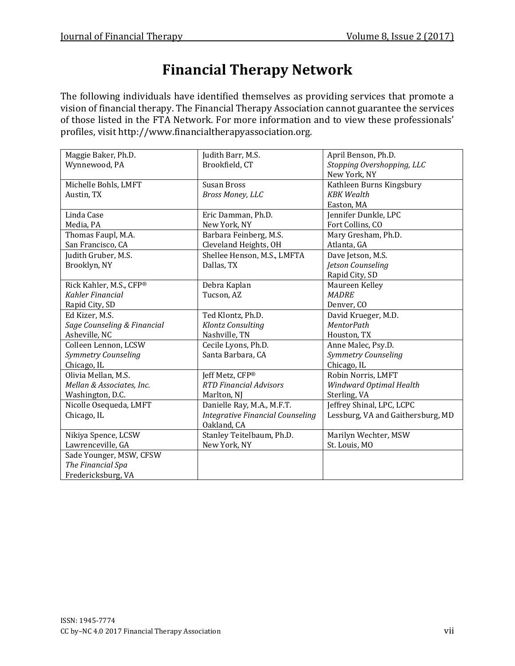# **Financial Therapy Network**

The following individuals have identified themselves as providing services that promote a vision of financial therapy. The Financial Therapy Association cannot guarantee the services of those listed in the FTA Network. For more information and to view these professionals' profiles, visit http://www.financialtherapyassociation.org.

| Maggie Baker, Ph.D.         | Judith Barr, M.S.                       | April Benson, Ph.D.               |
|-----------------------------|-----------------------------------------|-----------------------------------|
| Wynnewood, PA               | Brookfield, CT                          | Stopping Overshopping, LLC        |
|                             |                                         | New York, NY                      |
| Michelle Bohls, LMFT        | Susan Bross                             | Kathleen Burns Kingsbury          |
| Austin, TX                  | Bross Money, LLC                        | <b>KBK</b> Wealth                 |
|                             |                                         | Easton, MA                        |
| Linda Case                  | Eric Damman, Ph.D.                      | Jennifer Dunkle, LPC              |
| Media, PA                   | New York, NY                            | Fort Collins, CO                  |
| Thomas Faupl, M.A.          | Barbara Feinberg, M.S.                  | Mary Gresham, Ph.D.               |
| San Francisco, CA           | Cleveland Heights, OH                   | Atlanta, GA                       |
| Judith Gruber, M.S.         | Shellee Henson, M.S., LMFTA             | Dave Jetson, M.S.                 |
| Brooklyn, NY                | Dallas, TX                              | Jetson Counseling                 |
|                             |                                         | Rapid City, SD                    |
| Rick Kahler, M.S., CFP®     | Debra Kaplan                            | Maureen Kelley                    |
| Kahler Financial            | Tucson, AZ                              | <b>MADRE</b>                      |
| Rapid City, SD              |                                         | Denver, CO                        |
| Ed Kizer, M.S.              | Ted Klontz, Ph.D.                       | David Krueger, M.D.               |
| Sage Counseling & Financial | Klontz Consulting                       | <b>MentorPath</b>                 |
| Asheville, NC               | Nashville, TN                           | Houston, TX                       |
| Colleen Lennon, LCSW        | Cecile Lyons, Ph.D.                     | Anne Malec, Psy.D.                |
| Symmetry Counseling         | Santa Barbara, CA                       | Symmetry Counseling               |
| Chicago, IL                 |                                         | Chicago, IL                       |
| Olivia Mellan, M.S.         | Jeff Metz, CFP®                         | Robin Norris, LMFT                |
| Mellan & Associates, Inc.   | <b>RTD Financial Advisors</b>           | Windward Optimal Health           |
| Washington, D.C.            | Marlton, NJ                             | Sterling, VA                      |
| Nicolle Osequeda, LMFT      | Danielle Ray, M.A., M.F.T.              | Jeffrey Shinal, LPC, LCPC         |
| Chicago, IL                 | <b>Integrative Financial Counseling</b> | Lessburg, VA and Gaithersburg, MD |
|                             | Oakland, CA                             |                                   |
| Nikiya Spence, LCSW         | Stanley Teitelbaum, Ph.D.               | Marilyn Wechter, MSW              |
| Lawrenceville, GA           | New York, NY                            | St. Louis, MO                     |
| Sade Younger, MSW, CFSW     |                                         |                                   |
| The Financial Spa           |                                         |                                   |
| Fredericksburg, VA          |                                         |                                   |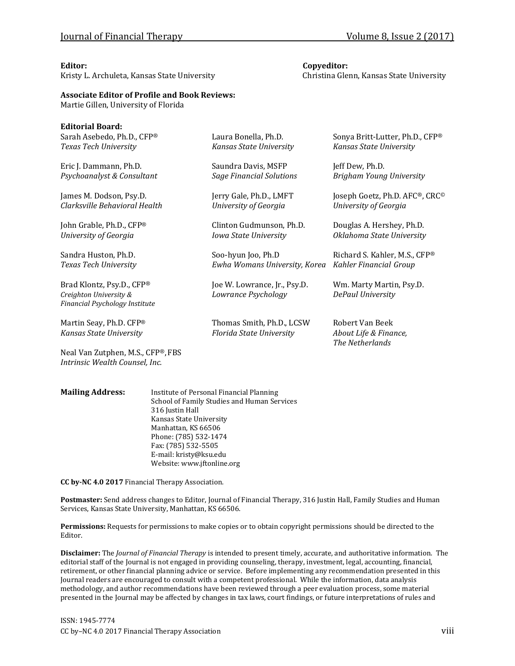**Editorial Board:**

Kristy L. Archuleta, Kansas State University Christina Glenn, Kansas State University

#### **Editor: Copyeditor:**

**Associate Editor of Profile and Book Reviews:**

Martie Gillen, University of Florida

| EQITOMIAI BOATO:<br>Sarah Asebedo, Ph.D., CFP®<br>Texas Tech University               | Laura Bonella, Ph.D.<br>Kansas State University       | Sonya Britt-Lutter, Ph.D., CFP®<br>Kansas State University  |
|---------------------------------------------------------------------------------------|-------------------------------------------------------|-------------------------------------------------------------|
| Eric J. Dammann, Ph.D.                                                                | Saundra Davis, MSFP                                   | Jeff Dew, Ph.D.                                             |
| Psychoanalyst & Consultant                                                            | <b>Sage Financial Solutions</b>                       | Brigham Young University                                    |
| James M. Dodson, Psy.D.                                                               | Jerry Gale, Ph.D., LMFT                               | Joseph Goetz, Ph.D. AFC®, CRC®                              |
| Clarksville Behavioral Health                                                         | University of Georgia                                 | University of Georgia                                       |
| John Grable, Ph.D., CFP®                                                              | Clinton Gudmunson, Ph.D.                              | Douglas A. Hershey, Ph.D.                                   |
| University of Georgia                                                                 | <b>Iowa State University</b>                          | Oklahoma State University                                   |
| Sandra Huston, Ph.D.                                                                  | Soo-hyun Joo, Ph.D                                    | Richard S. Kahler, M.S., CFP®                               |
| Texas Tech University                                                                 | Ewha Womans University, Korea                         | Kahler Financial Group                                      |
| Brad Klontz, Psy.D., CFP®<br>Creighton University &<br>Financial Psychology Institute | Joe W. Lowrance, Jr., Psy.D.<br>Lowrance Psychology   | Wm. Marty Martin, Psy.D.<br>DePaul University               |
| Martin Seay, Ph.D. CFP®<br>Kansas State University                                    | Thomas Smith, Ph.D., LCSW<br>Florida State University | Robert Van Beek<br>About Life & Finance,<br>The Netherlands |
| Neal Van Zutphen, M.S., CFP®, FBS<br>Intrinsic Wealth Counsel, Inc.                   |                                                       |                                                             |

**Mailing Address:** Institute of Personal Financial Planning School of Family Studies and Human Services 316 Justin Hall Kansas State University Manhattan, KS 66506 Phone: (785) 532-1474 Fax: (785) 532-5505 E-mail: kristy@ksu.edu Website: www.jftonline.org

**CC by-NC 4.0 2017** Financial Therapy Association.

**Postmaster:** Send address changes to Editor, Journal of Financial Therapy, 316 Justin Hall, Family Studies and Human Services, Kansas State University, Manhattan, KS 66506.

**Permissions:** Requests for permissions to make copies or to obtain copyright permissions should be directed to the Editor.

**Disclaimer:** The *Journal of Financial Therapy* is intended to present timely, accurate, and authoritative information. The editorial staff of the Journal is not engaged in providing counseling, therapy, investment, legal, accounting, financial, retirement, or other financial planning advice or service. Before implementing any recommendation presented in this Journal readers are encouraged to consult with a competent professional. While the information, data analysis methodology, and author recommendations have been reviewed through a peer evaluation process, some material presented in the Journal may be affected by changes in tax laws, court findings, or future interpretations of rules and